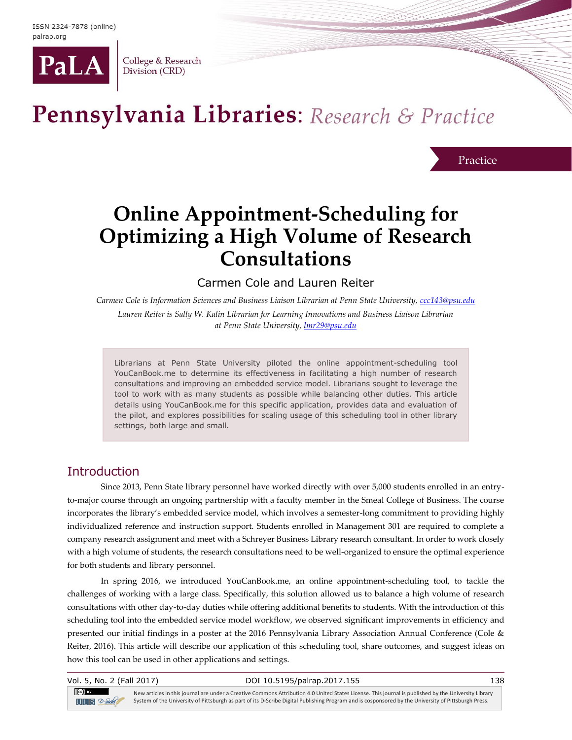

College & Research Division (CRD)

# Pennsylvania Libraries: Research & Practice

Practice

## **Online Appointment-Scheduling for Optimizing a High Volume of Research Consultations**

Carmen Cole and Lauren Reiter

*Carmen Cole is Information Sciences and Business Liaison Librarian at Penn State University, [ccc143@psu.edu](mailto:ccc143@psu.edu)*

*Lauren Reiter is Sally W. Kalin Librarian for Learning Innovations and Business Liaison Librarian at Penn State University[, lmr29@psu.edu](mailto:lmr29@psu.edu)*

Librarians at Penn State University piloted the online appointment-scheduling tool YouCanBook.me to determine its effectiveness in facilitating a high number of research consultations and improving an embedded service model. Librarians sought to leverage the tool to work with as many students as possible while balancing other duties. This article details using YouCanBook.me for this specific application, provides data and evaluation of the pilot, and explores possibilities for scaling usage of this scheduling tool in other library settings, both large and small.

#### **Introduction**

Since 2013, Penn State library personnel have worked directly with over 5,000 students enrolled in an entryto-major course through an ongoing partnership with a faculty member in the Smeal College of Business. The course incorporates the library's embedded service model, which involves a semester-long commitment to providing highly individualized reference and instruction support. Students enrolled in Management 301 are required to complete a company research assignment and meet with a Schreyer Business Library research consultant. In order to work closely with a high volume of students, the research consultations need to be well-organized to ensure the optimal experience for both students and library personnel.

In spring 2016, we introduced YouCanBook.me, an online appointment-scheduling tool, to tackle the challenges of working with a large class. Specifically, this solution allowed us to balance a high volume of research consultations with other day-to-day duties while offering additional benefits to students. With the introduction of this scheduling tool into the embedded service model workflow, we observed significant improvements in efficiency and presented our initial findings in a poster at the 2016 Pennsylvania Library Association Annual Conference (Cole & Reiter, 2016). This article will describe our application of this scheduling tool, share outcomes, and suggest ideas on how this tool can be used in other applications and settings.

 $(cc)$  BY  $T = S$ 

#### Vol. 5, No. 2 (Fall 2017) DOI 10.5195/palrap.2017.155 138

New articles in this journal are under a Creative Commons Attribution 4.0 United States License. This journal is published by the University Library System of the University of Pittsburgh as part of its D-Scribe Digital Publishing Program and is cosponsored by the University of Pittsburgh Press.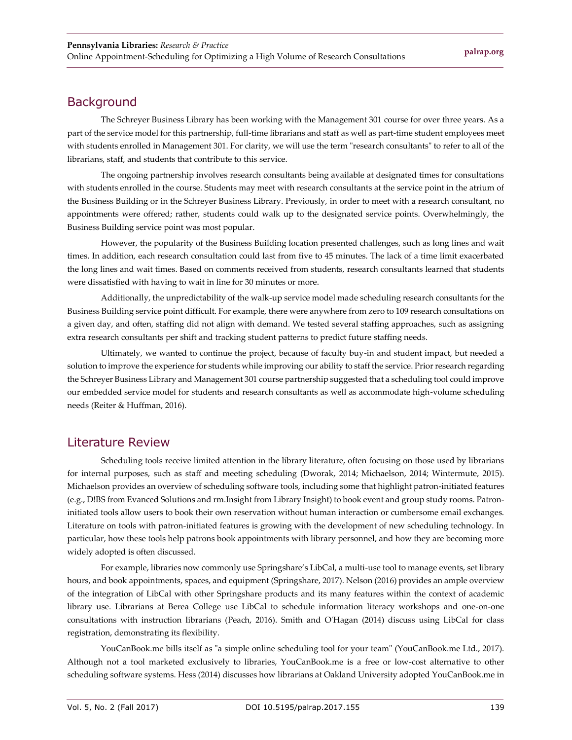### **Background**

The Schreyer Business Library has been working with the Management 301 course for over three years. As a part of the service model for this partnership, full-time librarians and staff as well as part-time student employees meet with students enrolled in Management 301. For clarity, we will use the term "research consultants" to refer to all of the librarians, staff, and students that contribute to this service.

The ongoing partnership involves research consultants being available at designated times for consultations with students enrolled in the course. Students may meet with research consultants at the service point in the atrium of the Business Building or in the Schreyer Business Library. Previously, in order to meet with a research consultant, no appointments were offered; rather, students could walk up to the designated service points. Overwhelmingly, the Business Building service point was most popular.

However, the popularity of the Business Building location presented challenges, such as long lines and wait times. In addition, each research consultation could last from five to 45 minutes. The lack of a time limit exacerbated the long lines and wait times. Based on comments received from students, research consultants learned that students were dissatisfied with having to wait in line for 30 minutes or more.

Additionally, the unpredictability of the walk-up service model made scheduling research consultants for the Business Building service point difficult. For example, there were anywhere from zero to 109 research consultations on a given day, and often, staffing did not align with demand. We tested several staffing approaches, such as assigning extra research consultants per shift and tracking student patterns to predict future staffing needs.

Ultimately, we wanted to continue the project, because of faculty buy-in and student impact, but needed a solution to improve the experience for students while improving our ability to staff the service. Prior research regarding the Schreyer Business Library and Management 301 course partnership suggested that a scheduling tool could improve our embedded service model for students and research consultants as well as accommodate high-volume scheduling needs (Reiter & Huffman, 2016).

#### Literature Review

Scheduling tools receive limited attention in the library literature, often focusing on those used by librarians for internal purposes, such as staff and meeting scheduling (Dworak, 2014; Michaelson, 2014; Wintermute, 2015). Michaelson provides an overview of scheduling software tools, including some that highlight patron-initiated features (e.g., D!BS from Evanced Solutions and rm.Insight from Library Insight) to book event and group study rooms. Patroninitiated tools allow users to book their own reservation without human interaction or cumbersome email exchanges. Literature on tools with patron-initiated features is growing with the development of new scheduling technology. In particular, how these tools help patrons book appointments with library personnel, and how they are becoming more widely adopted is often discussed.

For example, libraries now commonly use Springshare's LibCal, a multi-use tool to manage events, set library hours, and book appointments, spaces, and equipment (Springshare, 2017). Nelson (2016) provides an ample overview of the integration of LibCal with other Springshare products and its many features within the context of academic library use. Librarians at Berea College use LibCal to schedule information literacy workshops and one-on-one consultations with instruction librarians (Peach, 2016). Smith and O'Hagan (2014) discuss using LibCal for class registration, demonstrating its flexibility.

YouCanBook.me bills itself as "a simple online scheduling tool for your team" (YouCanBook.me Ltd., 2017). Although not a tool marketed exclusively to libraries, YouCanBook.me is a free or low-cost alternative to other scheduling software systems. Hess (2014) discusses how librarians at Oakland University adopted YouCanBook.me in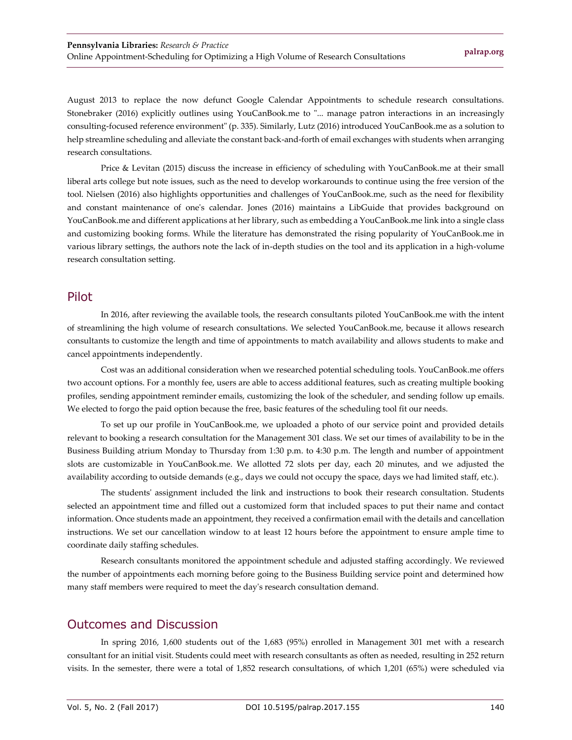August 2013 to replace the now defunct Google Calendar Appointments to schedule research consultations. Stonebraker (2016) explicitly outlines using YouCanBook.me to "... manage patron interactions in an increasingly consulting-focused reference environment" (p. 335). Similarly, Lutz (2016) introduced YouCanBook.me as a solution to help streamline scheduling and alleviate the constant back-and-forth of email exchanges with students when arranging research consultations.

Price & Levitan (2015) discuss the increase in efficiency of scheduling with YouCanBook.me at their small liberal arts college but note issues, such as the need to develop workarounds to continue using the free version of the tool. Nielsen (2016) also highlights opportunities and challenges of YouCanBook.me, such as the need for flexibility and constant maintenance of one's calendar. Jones (2016) maintains a LibGuide that provides background on YouCanBook.me and different applications at her library, such as embedding a YouCanBook.me link into a single class and customizing booking forms. While the literature has demonstrated the rising popularity of YouCanBook.me in various library settings, the authors note the lack of in-depth studies on the tool and its application in a high-volume research consultation setting.

#### Pilot

In 2016, after reviewing the available tools, the research consultants piloted YouCanBook.me with the intent of streamlining the high volume of research consultations. We selected YouCanBook.me, because it allows research consultants to customize the length and time of appointments to match availability and allows students to make and cancel appointments independently.

Cost was an additional consideration when we researched potential scheduling tools. YouCanBook.me offers two account options. For a monthly fee, users are able to access additional features, such as creating multiple booking profiles, sending appointment reminder emails, customizing the look of the scheduler, and sending follow up emails. We elected to forgo the paid option because the free, basic features of the scheduling tool fit our needs.

To set up our profile in YouCanBook.me, we uploaded a photo of our service point and provided details relevant to booking a research consultation for the Management 301 class. We set our times of availability to be in the Business Building atrium Monday to Thursday from 1:30 p.m. to 4:30 p.m. The length and number of appointment slots are customizable in YouCanBook.me. We allotted 72 slots per day, each 20 minutes, and we adjusted the availability according to outside demands (e.g., days we could not occupy the space, days we had limited staff, etc.).

The students' assignment included the link and instructions to book their research consultation. Students selected an appointment time and filled out a customized form that included spaces to put their name and contact information. Once students made an appointment, they received a confirmation email with the details and cancellation instructions. We set our cancellation window to at least 12 hours before the appointment to ensure ample time to coordinate daily staffing schedules.

Research consultants monitored the appointment schedule and adjusted staffing accordingly. We reviewed the number of appointments each morning before going to the Business Building service point and determined how many staff members were required to meet the day's research consultation demand.

#### Outcomes and Discussion

In spring 2016, 1,600 students out of the 1,683 (95%) enrolled in Management 301 met with a research consultant for an initial visit. Students could meet with research consultants as often as needed, resulting in 252 return visits. In the semester, there were a total of 1,852 research consultations, of which 1,201 (65%) were scheduled via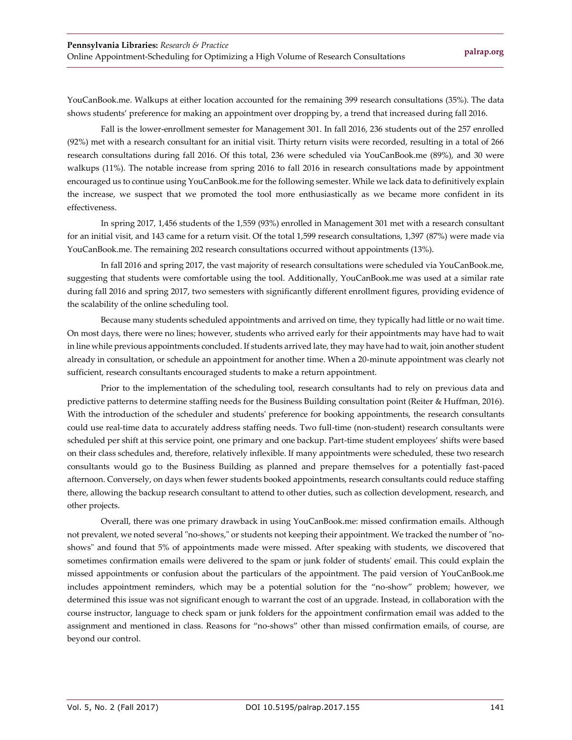YouCanBook.me. Walkups at either location accounted for the remaining 399 research consultations (35%). The data shows students' preference for making an appointment over dropping by, a trend that increased during fall 2016.

Fall is the lower-enrollment semester for Management 301. In fall 2016, 236 students out of the 257 enrolled (92%) met with a research consultant for an initial visit. Thirty return visits were recorded, resulting in a total of 266 research consultations during fall 2016. Of this total, 236 were scheduled via YouCanBook.me (89%), and 30 were walkups (11%). The notable increase from spring 2016 to fall 2016 in research consultations made by appointment encouraged us to continue using YouCanBook.me for the following semester. While we lack data to definitively explain the increase, we suspect that we promoted the tool more enthusiastically as we became more confident in its effectiveness.

In spring 2017, 1,456 students of the 1,559 (93%) enrolled in Management 301 met with a research consultant for an initial visit, and 143 came for a return visit. Of the total 1,599 research consultations, 1,397 (87%) were made via YouCanBook.me. The remaining 202 research consultations occurred without appointments (13%).

In fall 2016 and spring 2017, the vast majority of research consultations were scheduled via YouCanBook.me, suggesting that students were comfortable using the tool. Additionally, YouCanBook.me was used at a similar rate during fall 2016 and spring 2017, two semesters with significantly different enrollment figures, providing evidence of the scalability of the online scheduling tool.

Because many students scheduled appointments and arrived on time, they typically had little or no wait time. On most days, there were no lines; however, students who arrived early for their appointments may have had to wait in line while previous appointments concluded. If students arrived late, they may have had to wait, join another student already in consultation, or schedule an appointment for another time. When a 20-minute appointment was clearly not sufficient, research consultants encouraged students to make a return appointment.

Prior to the implementation of the scheduling tool, research consultants had to rely on previous data and predictive patterns to determine staffing needs for the Business Building consultation point (Reiter & Huffman, 2016). With the introduction of the scheduler and students' preference for booking appointments, the research consultants could use real-time data to accurately address staffing needs. Two full-time (non-student) research consultants were scheduled per shift at this service point, one primary and one backup. Part-time student employees' shifts were based on their class schedules and, therefore, relatively inflexible. If many appointments were scheduled, these two research consultants would go to the Business Building as planned and prepare themselves for a potentially fast-paced afternoon. Conversely, on days when fewer students booked appointments, research consultants could reduce staffing there, allowing the backup research consultant to attend to other duties, such as collection development, research, and other projects.

Overall, there was one primary drawback in using YouCanBook.me: missed confirmation emails. Although not prevalent, we noted several "no-shows," or students not keeping their appointment. We tracked the number of "noshows" and found that 5% of appointments made were missed. After speaking with students, we discovered that sometimes confirmation emails were delivered to the spam or junk folder of students' email. This could explain the missed appointments or confusion about the particulars of the appointment. The paid version of YouCanBook.me includes appointment reminders, which may be a potential solution for the "no-show" problem; however, we determined this issue was not significant enough to warrant the cost of an upgrade. Instead, in collaboration with the course instructor, language to check spam or junk folders for the appointment confirmation email was added to the assignment and mentioned in class. Reasons for "no-shows" other than missed confirmation emails, of course, are beyond our control.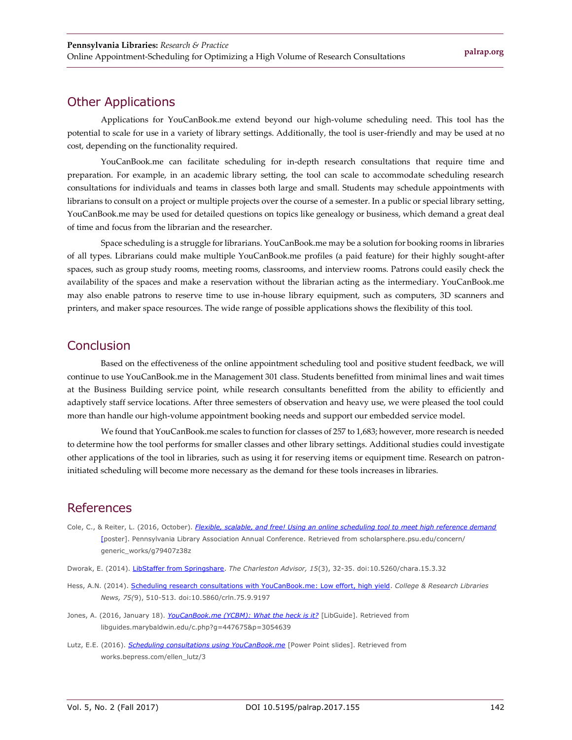#### Other Applications

Applications for YouCanBook.me extend beyond our high-volume scheduling need. This tool has the potential to scale for use in a variety of library settings. Additionally, the tool is user-friendly and may be used at no cost, depending on the functionality required.

YouCanBook.me can facilitate scheduling for in-depth research consultations that require time and preparation. For example, in an academic library setting, the tool can scale to accommodate scheduling research consultations for individuals and teams in classes both large and small. Students may schedule appointments with librarians to consult on a project or multiple projects over the course of a semester. In a public or special library setting, YouCanBook.me may be used for detailed questions on topics like genealogy or business, which demand a great deal of time and focus from the librarian and the researcher.

Space scheduling is a struggle for librarians. YouCanBook.me may be a solution for booking rooms in libraries of all types. Librarians could make multiple YouCanBook.me profiles (a paid feature) for their highly sought-after spaces, such as group study rooms, meeting rooms, classrooms, and interview rooms. Patrons could easily check the availability of the spaces and make a reservation without the librarian acting as the intermediary. YouCanBook.me may also enable patrons to reserve time to use in-house library equipment, such as computers, 3D scanners and printers, and maker space resources. The wide range of possible applications shows the flexibility of this tool.

#### Conclusion

Based on the effectiveness of the online appointment scheduling tool and positive student feedback, we will continue to use YouCanBook.me in the Management 301 class. Students benefitted from minimal lines and wait times at the Business Building service point, while research consultants benefitted from the ability to efficiently and adaptively staff service locations. After three semesters of observation and heavy use, we were pleased the tool could more than handle our high-volume appointment booking needs and support our embedded service model.

We found that YouCanBook.me scales to function for classes of 257 to 1,683; however, more research is needed to determine how the tool performs for smaller classes and other library settings. Additional studies could investigate other applications of the tool in libraries, such as using it for reserving items or equipment time. Research on patroninitiated scheduling will become more necessary as the demand for these tools increases in libraries.

#### References

- Cole, C., & Reiter, L. (2016, October). *[Flexible, scalable, and free! Using an online scheduling tool to meet high reference demand](http://scholarsphere.psu.edu/concern/generic_works/g79407z38z)* [\[p](http://scholarsphere.psu.edu/concern/generic_works/g79407z38z)oster]. Pennsylvania Library Association Annual Conference. Retrieved from scholarsphere.psu.edu/concern/ generic\_works/g79407z38z
- Dworak, E. (2014). [LibStaffer from Springshare.](http://dx.doi.org/10.5260/chara.15.3.32) *The Charleston Advisor, 15*(3), 32-35. doi:10.5260/chara.15.3.32
- Hess, A.N. (2014). [Scheduling research consultations with YouCanBook.me: Low effort, high yield.](http://dx.doi.org/10.5860/crln.75.9.9197) *College & Research Libraries News, 75(*9), 510-513. doi:10.5860/crln.75.9.9197
- Jones, A. (2016, January 18). *[YouCanBook.me \(YCBM\): What the heck is it?](http://libguides.marybaldwin.edu/c.php?g=447675&p=3054639)* [LibGuide]. Retrieved from libguides.marybaldwin.edu/c.php?g=447675&p=3054639
- Lutz, E.E. (2016). *[Scheduling consultations using YouCanBook.me](https://works.bepress.com/ellen_lutz/3/)* [Power Point slides]. Retrieved from works.bepress.com/ellen\_lutz/3